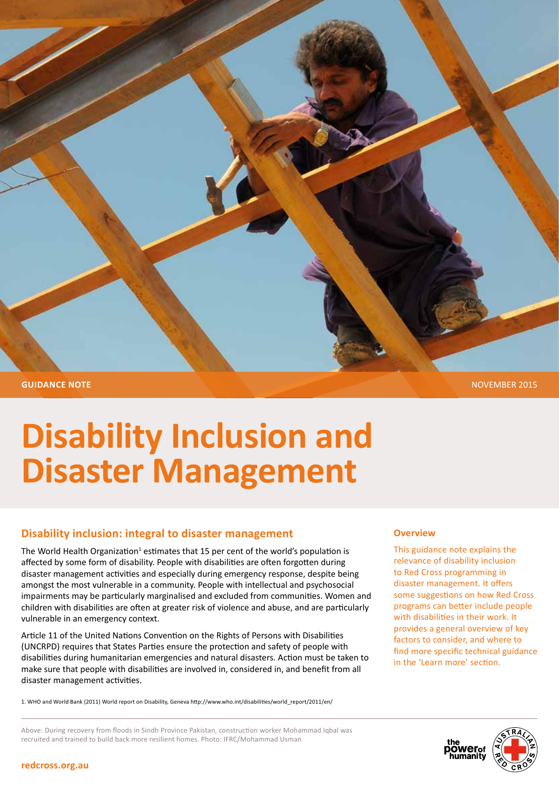

# **Disability Inclusion and Disaster Management**

### **Disability inclusion: integral to disaster management**

The World Health Organization<sup>1</sup> estimates that 15 per cent of the world's population is affected by some form of disability. People with disabilities are often forgotten during disaster management activities and especially during emergency response, despite being amongst the most vulnerable in a community. People with intellectual and psychosocial impairments may be particularly marginalised and excluded from communities. Women and children with disabilities are often at greater risk of violence and abuse, and are particularly vulnerable in an emergency context.

Article 11 of the United Nations Convention on the Rights of Persons with Disabilities (UNCRPD) requires that States Parties ensure the protection and safety of people with disabilities during humanitarian emergencies and natural disasters. Action must be taken to make sure that people with disabilities are involved in, considered in, and benefit from all disaster management activities.

1. WHO and World Bank (2011) World report on Disability, Geneva http://www.who.int/disabilities/world\_report/2011/en/

#### **Overview**

This guidance note explains the relevance of disability inclusion to Red Cross programming in disaster management. It offers some suggestions on how Red Cross programs can better include people with disabilities in their work. It provides a general overview of key factors to consider, and where to find more specific technical guidance in the 'Learn more' section.

Above: During recovery from floods in Sindh Province Pakistan, construction worker Mohammad Iqbal was recruited and trained to build back more resilient homes. Photo: IFRC/Mohammad Usman



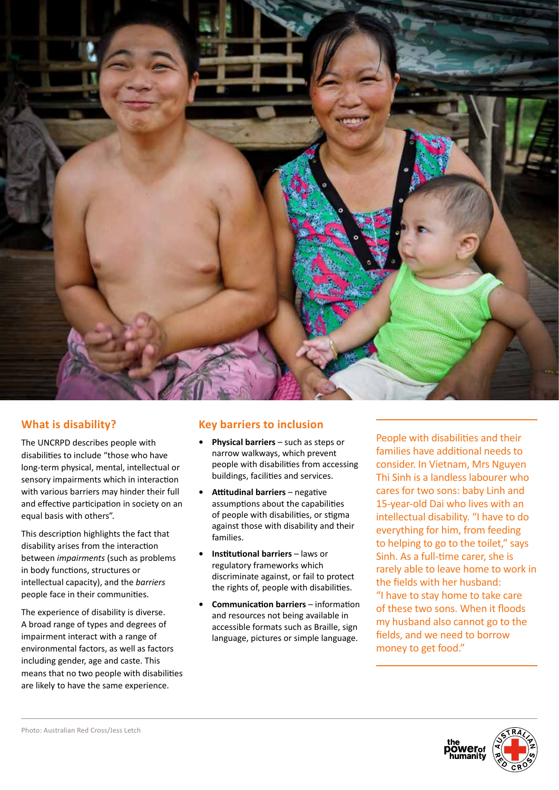

## **What is disability?**

The UNCRPD describes people with disabilities to include "those who have long-term physical, mental, intellectual or sensory impairments which in interaction with various barriers may hinder their full and effective participation in society on an equal basis with others".

This description highlights the fact that disability arises from the interaction between *impairments* (such as problems in body functions, structures or intellectual capacity), and the *barriers* people face in their communities.

The experience of disability is diverse. A broad range of types and degrees of impairment interact with a range of environmental factors, as well as factors including gender, age and caste. This means that no two people with disabilities are likely to have the same experience.

## **Key barriers to inclusion**

- **Physical barriers**  such as steps or narrow walkways, which prevent people with disabilities from accessing buildings, facilities and services.
- **• Attitudinal barriers** negative assumptions about the capabilities of people with disabilities, or stigma against those with disability and their families.
- **Institutional barriers** laws or regulatory frameworks which discriminate against, or fail to protect the rights of, people with disabilities.
- **Communication barriers** information and resources not being available in accessible formats such as Braille, sign language, pictures or simple language.

People with disabilities and their families have additional needs to consider. In Vietnam, Mrs Nguyen Thi Sinh is a landless labourer who cares for two sons: baby Linh and 15-year-old Dai who lives with an intellectual disability. "I have to do everything for him, from feeding to helping to go to the toilet," says Sinh. As a full-time carer, she is rarely able to leave home to work in the fields with her husband: "I have to stay home to take care of these two sons. When it floods my husband also cannot go to the fields, and we need to borrow money to get food."

**iõwer**ot

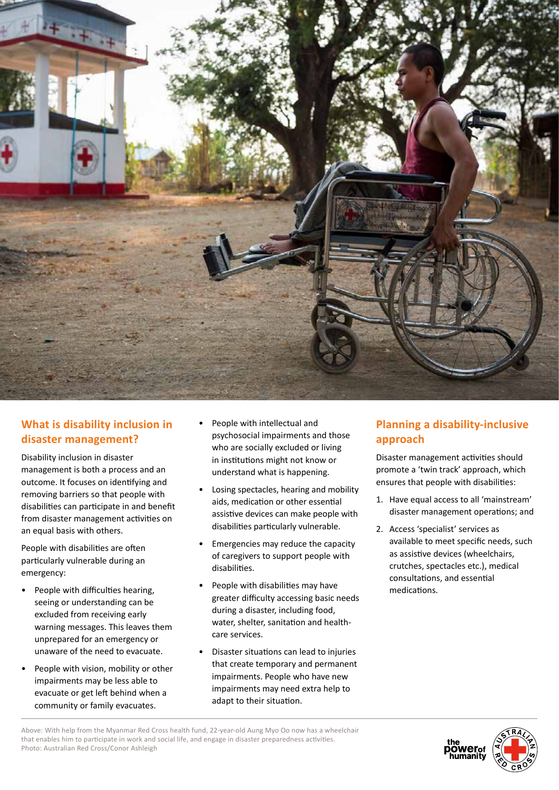

## **What is disability inclusion in disaster management?**

Disability inclusion in disaster management is both a process and an outcome. It focuses on identifying and removing barriers so that people with disabilities can participate in and benefit from disaster management activities on an equal basis with others.

People with disabilities are often particularly vulnerable during an emergency:

- People with difficulties hearing, seeing or understanding can be excluded from receiving early warning messages. This leaves them unprepared for an emergency or unaware of the need to evacuate.
- People with vision, mobility or other impairments may be less able to evacuate or get left behind when a community or family evacuates.
- People with intellectual and psychosocial impairments and those who are socially excluded or living in institutions might not know or understand what is happening.
- Losing spectacles, hearing and mobility aids, medication or other essential assistive devices can make people with disabilities particularly vulnerable.
- Emergencies may reduce the capacity of caregivers to support people with disabilities.
- People with disabilities may have greater difficulty accessing basic needs during a disaster, including food, water, shelter, sanitation and healthcare services.
- Disaster situations can lead to injuries that create temporary and permanent impairments. People who have new impairments may need extra help to adapt to their situation.

## **Planning a disability-inclusive approach**

Disaster management activities should promote a 'twin track' approach, which ensures that people with disabilities:

- 1. Have equal access to all 'mainstream' disaster management operations; and
- 2. Access 'specialist' services as available to meet specific needs, such as assistive devices (wheelchairs, crutches, spectacles etc.), medical consultations, and essential medications.

**power**<br>humanity



Above: With help from the Myanmar Red Cross health fund, 22-year-old Aung Myo Oo now has a wheelchair that enables him to participate in work and social life, and engage in disaster preparedness activities. Photo: Australian Red Cross/Conor Ashleigh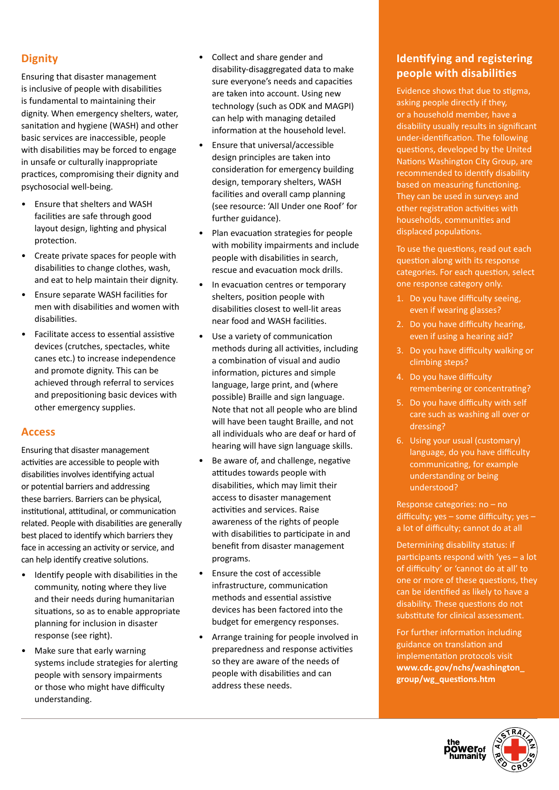## **Dignity**

Ensuring that disaster management is inclusive of people with disabilities is fundamental to maintaining their dignity. When emergency shelters, water, sanitation and hygiene (WASH) and other basic services are inaccessible, people with disabilities may be forced to engage in unsafe or culturally inappropriate practices, compromising their dignity and psychosocial well-being.

- Ensure that shelters and WASH facilities are safe through good layout design, lighting and physical protection.
- Create private spaces for people with disabilities to change clothes, wash, and eat to help maintain their dignity.
- Ensure separate WASH facilities for men with disabilities and women with disabilities.
- Facilitate access to essential assistive devices (crutches, spectacles, white canes etc.) to increase independence and promote dignity. This can be achieved through referral to services and prepositioning basic devices with other emergency supplies.

#### **Access**

Ensuring that disaster management activities are accessible to people with disabilities involves identifying actual or potential barriers and addressing these barriers. Barriers can be physical, institutional, attitudinal, or communication related. People with disabilities are generally best placed to identify which barriers they face in accessing an activity or service, and can help identify creative solutions.

- Identify people with disabilities in the community, noting where they live and their needs during humanitarian situations, so as to enable appropriate planning for inclusion in disaster response (see right).
- Make sure that early warning systems include strategies for alerting people with sensory impairments or those who might have difficulty understanding.
- Collect and share gender and disability-disaggregated data to make sure everyone's needs and capacities are taken into account. Using new technology (such as ODK and MAGPI) can help with managing detailed information at the household level.
- Ensure that universal/accessible design principles are taken into consideration for emergency building design, temporary shelters, WASH facilities and overall camp planning (see resource: 'All Under one Roof' for further guidance).
- Plan evacuation strategies for people with mobility impairments and include people with disabilities in search, rescue and evacuation mock drills.
- In evacuation centres or temporary shelters, position people with disabilities closest to well-lit areas near food and WASH facilities.
- Use a variety of communication methods during all activities, including a combination of visual and audio information, pictures and simple language, large print, and (where possible) Braille and sign language. Note that not all people who are blind will have been taught Braille, and not all individuals who are deaf or hard of hearing will have sign language skills.
- Be aware of, and challenge, negative attitudes towards people with disabilities, which may limit their access to disaster management activities and services. Raise awareness of the rights of people with disabilities to participate in and benefit from disaster management programs.
- Ensure the cost of accessible infrastructure, communication methods and essential assistive devices has been factored into the budget for emergency responses.
- Arrange training for people involved in preparedness and response activities so they are aware of the needs of people with disabilities and can address these needs.

## **Identifying and registering people with disabilities**

Evidence shows that due to stigma, asking people directly if they, or a household member, have a disability usually results in significant under-identification. The following questions, developed by the United Nations Washington City Group, are recommended to identify disability based on measuring functioning. They can be used in surveys and other registration activities with households, communities and displaced populations.

To use the questions, read out each question along with its response categories. For each question, select one response category only.

- 1. Do you have difficulty seeing, even if wearing glasses?
- 2. Do you have difficulty hearing, even if using a hearing aid?
- 3. Do you have difficulty walking or climbing steps?
- 4. Do you have difficulty remembering or concentrating?
- 5. Do you have difficulty with self care such as washing all over or dressing?
- 6. Using your usual (customary) language, do you have difficulty communicating, for example understanding or being understood?

Response categories: no – no difficulty; yes – some difficulty; yes – a lot of difficulty; cannot do at all

Determining disability status: if participants respond with 'yes – a lot of difficulty' or 'cannot do at all' to one or more of these questions, they can be identified as likely to have a disability. These questions do not substitute for clinical assessment.

For further information including guidance on translation and implementation protocols visit **www.cdc.gov/nchs/washington\_ group/wg\_questions.htm**



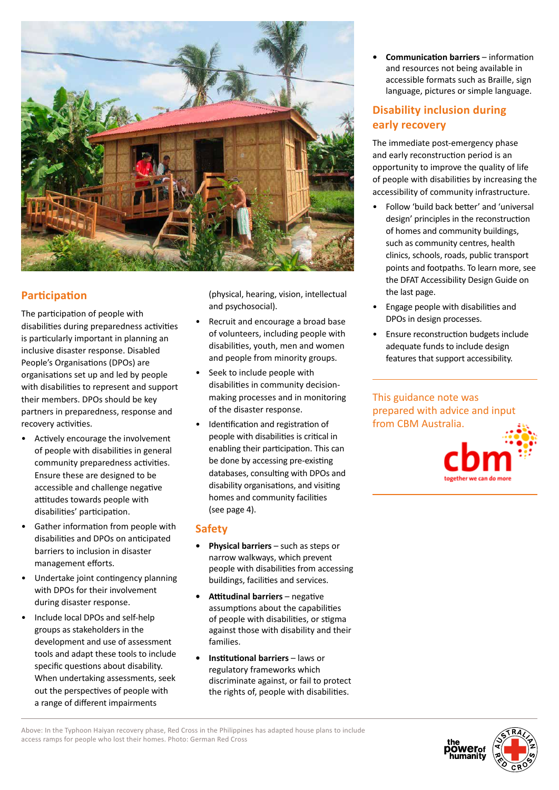

## **Participation**

The participation of people with disabilities during preparedness activities is particularly important in planning an inclusive disaster response. Disabled People's Organisations (DPOs) are organisations set up and led by people with disabilities to represent and support their members. DPOs should be key partners in preparedness, response and recovery activities.

- Actively encourage the involvement of people with disabilities in general community preparedness activities. Ensure these are designed to be accessible and challenge negative attitudes towards people with disabilities' participation.
- Gather information from people with disabilities and DPOs on anticipated barriers to inclusion in disaster management efforts.
- Undertake joint contingency planning with DPOs for their involvement during disaster response.
- Include local DPOs and self-help groups as stakeholders in the development and use of assessment tools and adapt these tools to include specific questions about disability. When undertaking assessments, seek out the perspectives of people with a range of different impairments

(physical, hearing, vision, intellectual and psychosocial).

- Recruit and encourage a broad base of volunteers, including people with disabilities, youth, men and women and people from minority groups.
- Seek to include people with disabilities in community decisionmaking processes and in monitoring of the disaster response.
- Identification and registration of people with disabilities is critical in enabling their participation. This can be done by accessing pre-existing databases, consulting with DPOs and disability organisations, and visiting homes and community facilities (see page 4).

#### **Safety**

- **Physical barriers**  such as steps or narrow walkways, which prevent people with disabilities from accessing buildings, facilities and services.
- **Attitudinal barriers** negative assumptions about the capabilities of people with disabilities, or stigma against those with disability and their families.
- **Institutional barriers** laws or regulatory frameworks which discriminate against, or fail to protect the rights of, people with disabilities.

**Communication barriers** – information and resources not being available in accessible formats such as Braille, sign language, pictures or simple language.

## **Disability inclusion during early recovery**

The immediate post-emergency phase and early reconstruction period is an opportunity to improve the quality of life of people with disabilities by increasing the accessibility of community infrastructure.

- Follow 'build back better' and 'universal design' principles in the reconstruction of homes and community buildings, such as community centres, health clinics, schools, roads, public transport points and footpaths. To learn more, see the DFAT Accessibility Design Guide on the last page.
- Engage people with disabilities and DPOs in design processes.
- Ensure reconstruction budgets include adequate funds to include design features that support accessibility.

This guidance note was prepared with advice and input from CBM Australia.



Above: In the Typhoon Haiyan recovery phase, Red Cross in the Philippines has adapted house plans to include access ramps for people who lost their homes. Photo: German Red Cross



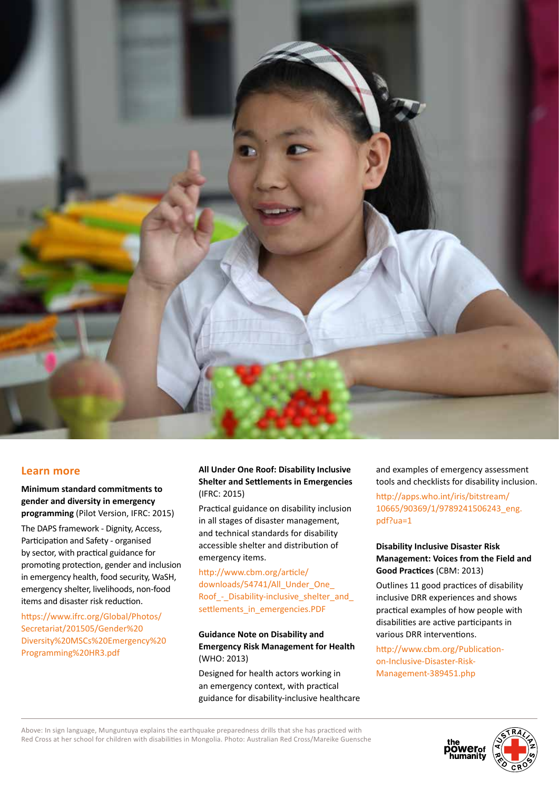

#### **Learn more**

**Minimum standard commitments to gender and diversity in emergency programming** (Pilot Version, IFRC: 2015)

The DAPS framework - Dignity, Access, Participation and Safety - organised by sector, with practical guidance for promoting protection, gender and inclusion in emergency health, food security, WaSH, emergency shelter, livelihoods, non-food items and disaster risk reduction.

https://www.ifrc.org/Global/Photos/ Secretariat/201505/Gender%20 Diversity%20MSCs%20Emergency%20 Programming%20HR3.pdf

#### **All Under One Roof: Disability Inclusive Shelter and Settlements in Emergencies** (IFRC: 2015)

Practical guidance on disability inclusion in all stages of disaster management, and technical standards for disability accessible shelter and distribution of emergency items.

http://www.cbm.org/article/ downloads/54741/All\_Under\_One Roof\_-\_Disability-inclusive\_shelter\_and\_ settlements\_in\_emergencies.PDF

#### **Guidance Note on Disability and Emergency Risk Management for Health** (WHO: 2013)

Designed for health actors working in an emergency context, with practical guidance for disability-inclusive healthcare and examples of emergency assessment tools and checklists for disability inclusion.

http://apps.who.int/iris/bitstream/ 10665/90369/1/9789241506243\_eng. pdf?ua=1

#### **Disability Inclusive Disaster Risk Management: Voices from the Field and Good Practices** (CBM: 2013)

Outlines 11 good practices of disability inclusive DRR experiences and shows practical examples of how people with disabilities are active participants in various DRR interventions.

http://www.cbm.org/Publicationon-Inclusive-Disaster-Risk-Management-389451.php

Above: In sign language, Munguntuya explains the earthquake preparedness drills that she has practiced with Red Cross at her school for children with disabilities in Mongolia. Photo: Australian Red Cross/Mareike Guensche



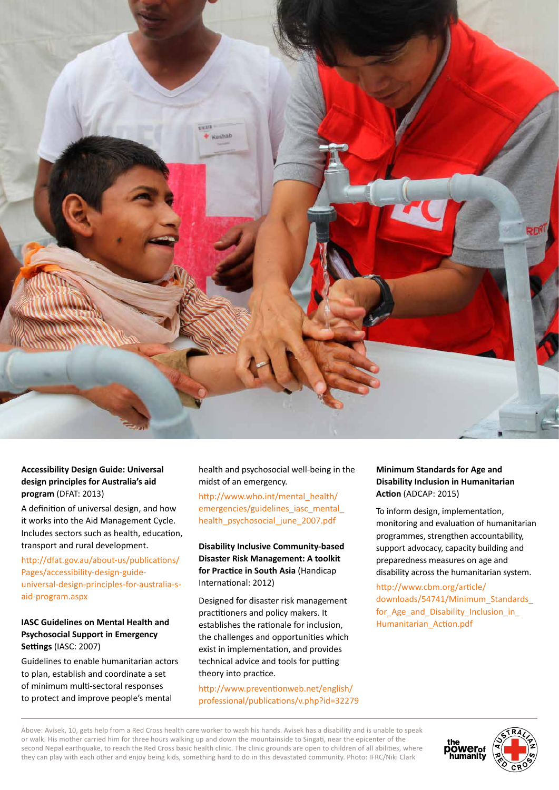

#### **Accessibility Design Guide: Universal design principles for Australia's aid program** (DFAT: 2013)

A definition of universal design, and how it works into the Aid Management Cycle. Includes sectors such as health, education, transport and rural development.

http://dfat.gov.au/about-us/publications/ Pages/accessibility-design-guideuniversal-design-principles-for-australia-said-program.aspx

#### **IASC Guidelines on Mental Health and Psychosocial Support in Emergency Settings** (IASC: 2007)

Guidelines to enable humanitarian actors to plan, establish and coordinate a set of minimum multi-sectoral responses to protect and improve people's mental

health and psychosocial well-being in the midst of an emergency.

http://www.who.int/mental\_health/ emergencies/guidelines\_iasc\_mental health\_psychosocial\_june\_2007.pdf

**Disability Inclusive Community-based Disaster Risk Management: A toolkit for Practice in South Asia** (Handicap International: 2012)

Designed for disaster risk management practitioners and policy makers. It establishes the rationale for inclusion, the challenges and opportunities which exist in implementation, and provides technical advice and tools for putting theory into practice.

http://www.preventionweb.net/english/ professional/publications/v.php?id=32279

#### **Minimum Standards for Age and Disability Inclusion in Humanitarian Action** (ADCAP: 2015)

To inform design, implementation, monitoring and evaluation of humanitarian programmes, strengthen accountability, support advocacy, capacity building and preparedness measures on age and disability across the humanitarian system.

http://www.cbm.org/article/ downloads/54741/Minimum\_Standards\_ for\_Age\_and\_Disability\_Inclusion\_in\_ Humanitarian\_Action.pdf

Above: Avisek, 10, gets help from a Red Cross health care worker to wash his hands. Avisek has a disability and is unable to speak or walk. His mother carried him for three hours walking up and down the mountainside to Singati, near the epicenter of the second Nepal earthquake, to reach the Red Cross basic health clinic. The clinic grounds are open to children of all abilities, where they can play with each other and enjoy being kids, something hard to do in this devastated community. Photo: IFRC/Niki Clark